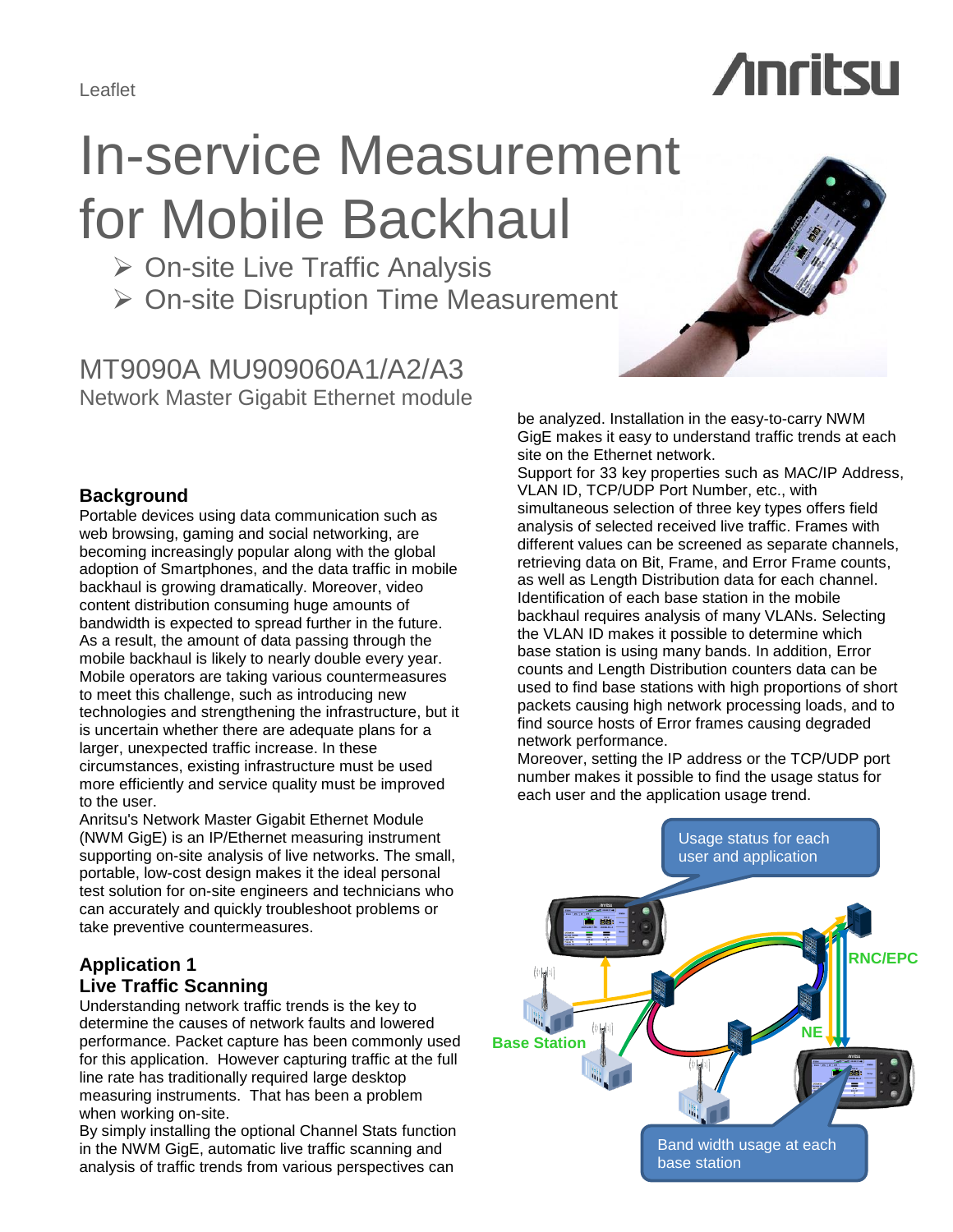Leaflet

# In-service Measurement for Mobile Backhaul

**≻ On-site Live Traffic Analysis** 

**≻ On-site Disruption Time Measurement** 

MT9090A MU909060A1/A2/A3 Network Master Gigabit Ethernet module

GigE makes it easy to understand traffic trends at each

#### Support for 33 key properties such as MAC/IP Address, VLAN ID, TCP/UDP Port Number, etc., with simultaneous selection of three key types offers field analysis of selected received live traffic. Frames with different values can be screened as separate channels, retrieving data on Bit, Frame, and Error Frame counts, as well as Length Distribution data for each channel. Identification of each base station in the mobile backhaul requires analysis of many VLANs. Selecting the VLAN ID makes it possible to determine which base station is using many bands. In addition, Error counts and Length Distribution counters data can be used to find base stations with high proportions of short packets causing high network processing loads, and to find source hosts of Error frames causing degraded network performance.

Moreover, setting the IP address or the TCP/UDP port number makes it possible to find the usage status for each user and the application usage trend.

be analyzed. Installation in the easy-to-carry NWM site on the Ethernet network.

# **Background**

Portable devices using data communication such as web browsing, gaming and social networking, are becoming increasingly popular along with the global adoption of Smartphones, and the data traffic in mobile backhaul is growing dramatically. Moreover, video content distribution consuming huge amounts of bandwidth is expected to spread further in the future. As a result, the amount of data passing through the mobile backhaul is likely to nearly double every year. Mobile operators are taking various countermeasures to meet this challenge, such as introducing new technologies and strengthening the infrastructure, but it is uncertain whether there are adequate plans for a larger, unexpected traffic increase. In these circumstances, existing infrastructure must be used more efficiently and service quality must be improved to the user.

Anritsu's Network Master Gigabit Ethernet Module (NWM GigE) is an IP/Ethernet measuring instrument supporting on-site analysis of live networks. The small, portable, low-cost design makes it the ideal personal test solution for on-site engineers and technicians who can accurately and quickly troubleshoot problems or take preventive countermeasures.

# **Application 1 Live Traffic Scanning**

Understanding network traffic trends is the key to determine the causes of network faults and lowered performance. Packet capture has been commonly used for this application. However capturing traffic at the full line rate has traditionally required large desktop measuring instruments. That has been a problem when working on-site.

By simply installing the optional Channel Stats function in the NWM GigE, automatic live traffic scanning and analysis of traffic trends from various perspectives can